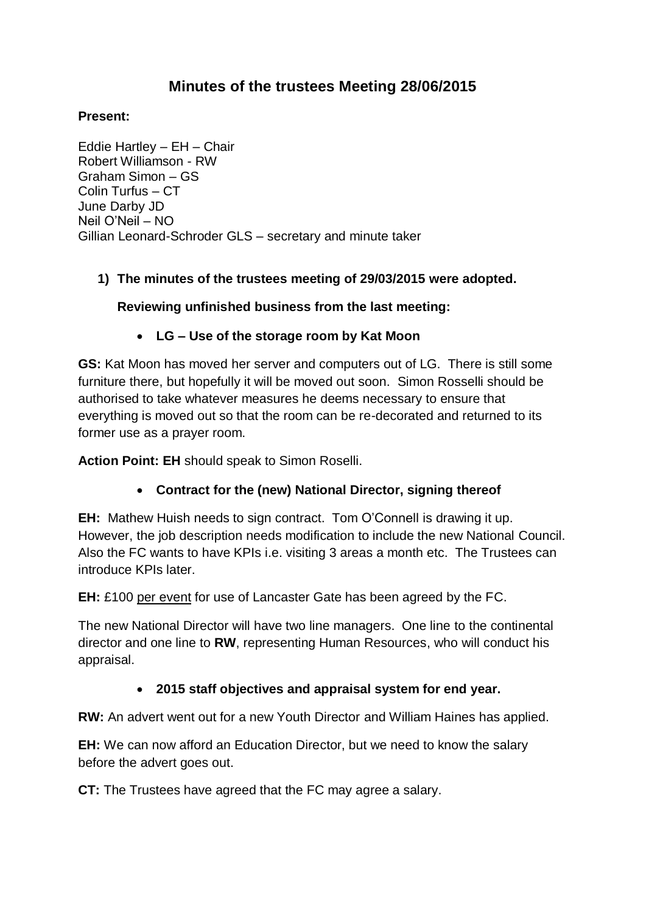# **Minutes of the trustees Meeting 28/06/2015**

#### **Present:**

Eddie Hartley – EH – Chair Robert Williamson - RW Graham Simon – GS Colin Turfus – CT June Darby JD Neil O'Neil – NO Gillian Leonard-Schroder GLS – secretary and minute taker

#### **1) The minutes of the trustees meeting of 29/03/2015 were adopted.**

#### **Reviewing unfinished business from the last meeting:**

#### **LG – Use of the storage room by Kat Moon**

**GS:** Kat Moon has moved her server and computers out of LG. There is still some furniture there, but hopefully it will be moved out soon. Simon Rosselli should be authorised to take whatever measures he deems necessary to ensure that everything is moved out so that the room can be re-decorated and returned to its former use as a prayer room.

**Action Point: EH** should speak to Simon Roselli.

## **Contract for the (new) National Director, signing thereof**

**EH:** Mathew Huish needs to sign contract. Tom O'Connell is drawing it up. However, the job description needs modification to include the new National Council. Also the FC wants to have KPIs i.e. visiting 3 areas a month etc. The Trustees can introduce KPIs later.

**EH:** £100 per event for use of Lancaster Gate has been agreed by the FC.

The new National Director will have two line managers. One line to the continental director and one line to **RW**, representing Human Resources, who will conduct his appraisal.

## **2015 staff objectives and appraisal system for end year.**

**RW:** An advert went out for a new Youth Director and William Haines has applied.

**EH:** We can now afford an Education Director, but we need to know the salary before the advert goes out.

**CT:** The Trustees have agreed that the FC may agree a salary.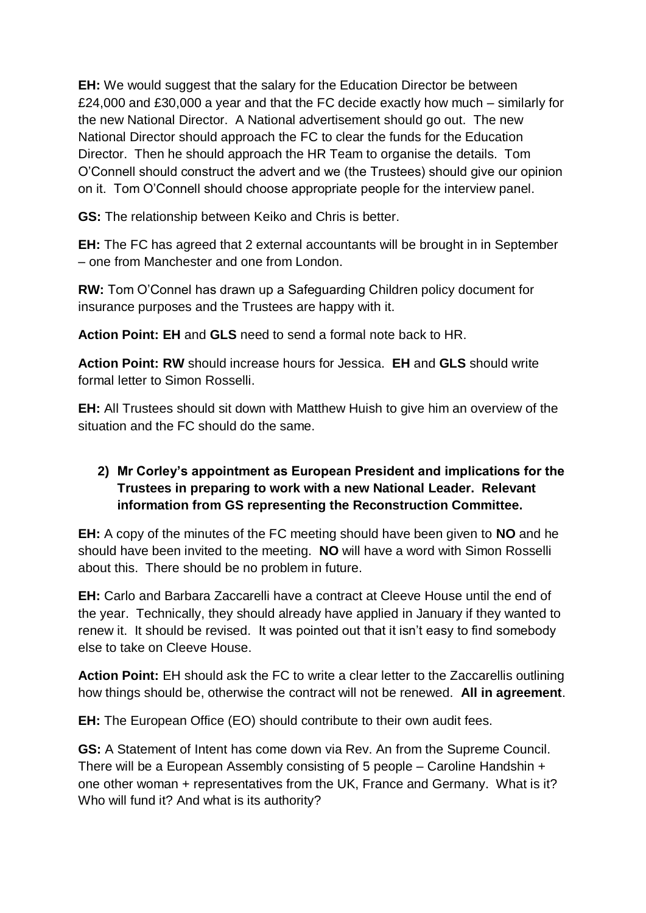**EH:** We would suggest that the salary for the Education Director be between £24,000 and £30,000 a year and that the FC decide exactly how much – similarly for the new National Director. A National advertisement should go out. The new National Director should approach the FC to clear the funds for the Education Director. Then he should approach the HR Team to organise the details. Tom O'Connell should construct the advert and we (the Trustees) should give our opinion on it. Tom O'Connell should choose appropriate people for the interview panel.

**GS:** The relationship between Keiko and Chris is better.

**EH:** The FC has agreed that 2 external accountants will be brought in in September – one from Manchester and one from London.

**RW:** Tom O'Connel has drawn up a Safeguarding Children policy document for insurance purposes and the Trustees are happy with it.

**Action Point: EH** and **GLS** need to send a formal note back to HR.

**Action Point: RW** should increase hours for Jessica. **EH** and **GLS** should write formal letter to Simon Rosselli.

**EH:** All Trustees should sit down with Matthew Huish to give him an overview of the situation and the FC should do the same.

## **2) Mr Corley's appointment as European President and implications for the Trustees in preparing to work with a new National Leader. Relevant information from GS representing the Reconstruction Committee.**

**EH:** A copy of the minutes of the FC meeting should have been given to **NO** and he should have been invited to the meeting. **NO** will have a word with Simon Rosselli about this. There should be no problem in future.

**EH:** Carlo and Barbara Zaccarelli have a contract at Cleeve House until the end of the year. Technically, they should already have applied in January if they wanted to renew it. It should be revised. It was pointed out that it isn't easy to find somebody else to take on Cleeve House.

**Action Point:** EH should ask the FC to write a clear letter to the Zaccarellis outlining how things should be, otherwise the contract will not be renewed. **All in agreement**.

**EH:** The European Office (EO) should contribute to their own audit fees.

**GS:** A Statement of Intent has come down via Rev. An from the Supreme Council. There will be a European Assembly consisting of 5 people – Caroline Handshin + one other woman + representatives from the UK, France and Germany. What is it? Who will fund it? And what is its authority?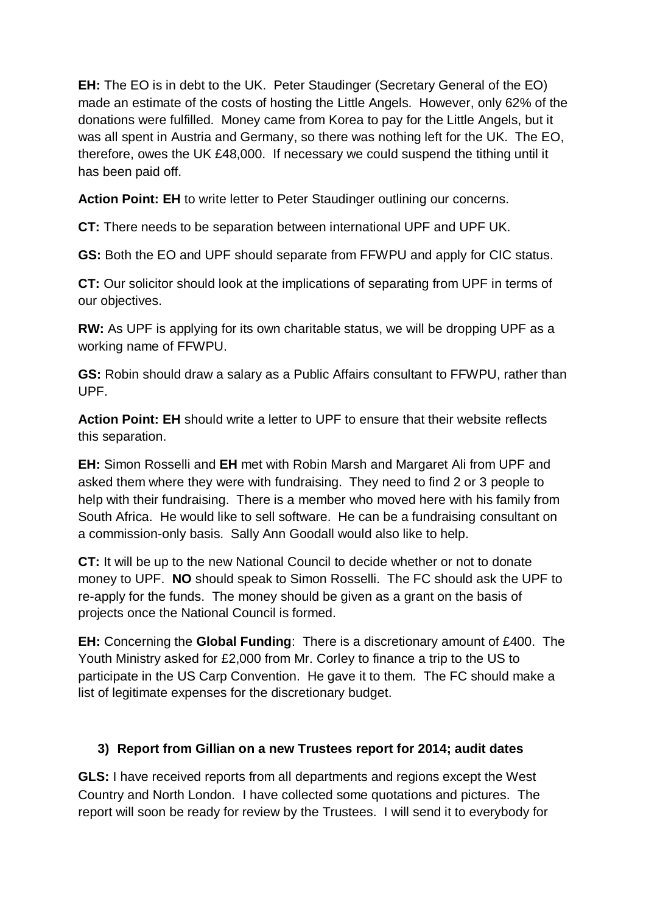**EH:** The EO is in debt to the UK. Peter Staudinger (Secretary General of the EO) made an estimate of the costs of hosting the Little Angels. However, only 62% of the donations were fulfilled. Money came from Korea to pay for the Little Angels, but it was all spent in Austria and Germany, so there was nothing left for the UK. The EO, therefore, owes the UK £48,000. If necessary we could suspend the tithing until it has been paid off.

**Action Point: EH** to write letter to Peter Staudinger outlining our concerns.

**CT:** There needs to be separation between international UPF and UPF UK.

**GS:** Both the EO and UPF should separate from FFWPU and apply for CIC status.

**CT:** Our solicitor should look at the implications of separating from UPF in terms of our objectives.

**RW:** As UPF is applying for its own charitable status, we will be dropping UPF as a working name of FFWPU.

**GS:** Robin should draw a salary as a Public Affairs consultant to FFWPU, rather than UPF.

**Action Point: EH** should write a letter to UPF to ensure that their website reflects this separation.

**EH:** Simon Rosselli and **EH** met with Robin Marsh and Margaret Ali from UPF and asked them where they were with fundraising. They need to find 2 or 3 people to help with their fundraising. There is a member who moved here with his family from South Africa. He would like to sell software. He can be a fundraising consultant on a commission-only basis. Sally Ann Goodall would also like to help.

**CT:** It will be up to the new National Council to decide whether or not to donate money to UPF. **NO** should speak to Simon Rosselli. The FC should ask the UPF to re-apply for the funds. The money should be given as a grant on the basis of projects once the National Council is formed.

**EH:** Concerning the **Global Funding**: There is a discretionary amount of £400. The Youth Ministry asked for £2,000 from Mr. Corley to finance a trip to the US to participate in the US Carp Convention. He gave it to them. The FC should make a list of legitimate expenses for the discretionary budget.

## **3) Report from Gillian on a new Trustees report for 2014; audit dates**

**GLS:** I have received reports from all departments and regions except the West Country and North London. I have collected some quotations and pictures. The report will soon be ready for review by the Trustees. I will send it to everybody for